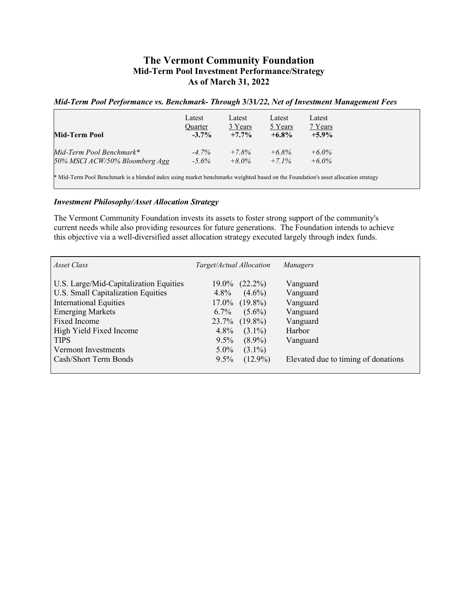## **The Vermont Community Foundation Mid-Term Pool Investment Performance/Strategy As of March 31, 2022**

## *Mid-Term Pool Performance vs. Benchmark- Through* **3/31***/22, Net of Investment Management Fees*

| Mid-Term Pool                                                                                                                     | Latest<br><b>Ouarter</b><br>$-3.7\%$ | Latest<br>3 Years<br>$+7.7\%$ | Latest<br>5 Years<br>$+6.8\%$ | Latest<br>7 Years<br>$+5.9\%$ |  |  |
|-----------------------------------------------------------------------------------------------------------------------------------|--------------------------------------|-------------------------------|-------------------------------|-------------------------------|--|--|
| Mid-Term Pool Benchmark*                                                                                                          | $-4.7\%$                             | $+7.8%$                       | $+6.8\%$                      | $+6.0\%$                      |  |  |
| 50% MSCI ACW/50% Bloomberg Agg                                                                                                    | $-5.6\%$                             | $+8.0\%$                      | $+7.1\%$                      | $+6.0\%$                      |  |  |
| * Mid-Term Pool Benchmark is a blended index using market benchmarks weighted based on the Foundation's asset allocation strategy |                                      |                               |                               |                               |  |  |

## *Investment Philosophy/Asset Allocation Strategy*

The Vermont Community Foundation invests its assets to foster strong support of the community's current needs while also providing resources for future generations. The Foundation intends to achieve this objective via a well-diversified asset allocation strategy executed largely through index funds.

| U.S. Large/Mid-Capitalization Equities<br>$19.0\%$ $(22.2\%)$<br>Vanguard<br>U.S. Small Capitalization Equities<br>$4.8\%$<br>$(4.6\%)$<br>Vanguard<br><b>International Equities</b><br>$17.0\%$ $(19.8\%)$<br>Vanguard<br><b>Emerging Markets</b><br>$6.7\%$<br>$(5.6\%)$<br>Vanguard<br><b>Fixed Income</b><br>$23.7\%$ (19.8%)<br>Vanguard<br>High Yield Fixed Income<br>$4.8\%$<br>$(3.1\%)$<br>Harbor | Asset Class | Target/Actual Allocation | Managers |
|------------------------------------------------------------------------------------------------------------------------------------------------------------------------------------------------------------------------------------------------------------------------------------------------------------------------------------------------------------------------------------------------------------|-------------|--------------------------|----------|
| Vermont Investments<br>$(3.1\%)$<br>$5.0\%$<br>Cash/Short Term Bonds<br>$(12.9\%)$<br>Elevated due to timing of donations<br>$9.5\%$                                                                                                                                                                                                                                                                       | <b>TIPS</b> | $(8.9\%)$<br>$9.5\%$     | Vanguard |